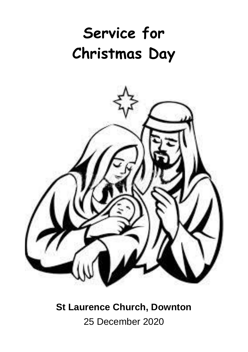# **Service for Christmas Day**



**St Laurence Church, Downton** 25 December 2020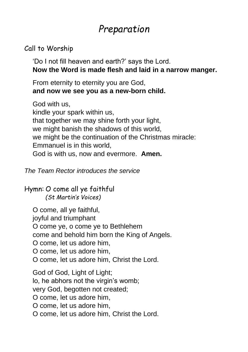## *Preparation*

### Call to Worship

'Do I not fill heaven and earth?' says the Lord. **Now the Word is made flesh and laid in a narrow manger.**

From eternity to eternity you are God, **and now we see you as a new-born child.**

God with us, kindle your spark within us, that together we may shine forth your light, we might banish the shadows of this world, we might be the continuation of the Christmas miracle: Emmanuel is in this world, God is with us, now and evermore. **Amen.**

*The Team Rector introduces the service*

Hymn: O come all ye faithful *(St Martin's Voices)*

O come, all ye faithful, joyful and triumphant O come ye, o come ye to Bethlehem come and behold him born the King of Angels. O come, let us adore him, O come, let us adore him, O come, let us adore him, Christ the Lord. God of God, Light of Light; lo, he abhors not the virgin's womb; very God, begotten not created; O come, let us adore him, O come, let us adore him, O come, let us adore him, Christ the Lord.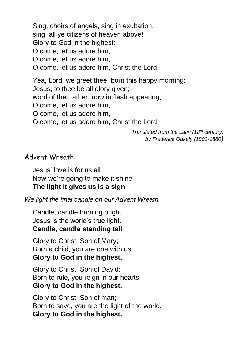Sing, choirs of angels, sing in exultation, sing, all ye citizens of heaven above! Glory to God in the highest: O come, let us adore him, O come, let us adore him, O come, let us adore him, Christ the Lord.

Yea, Lord, we greet thee, born this happy morning: Jesus, to thee be all glory given; word of the Father, now in flesh appearing; O come, let us adore him, O come, let us adore him, O come, let us adore him, Christ the Lord.

> *Translated from the Latin (18th century) by Frederick Oakely (1802-1880)*

#### Advent Wreath:

Jesus' love is for us all. Now we're going to make it shine

#### **The light it gives us is a sign**

*We light the final candle on our Advent Wreath.*

Candle, candle burning bright Jesus is the world's true light. **Candle, candle standing tall**

Glory to Christ, Son of Mary; Born a child, you are one with us. **Glory to God in the highest.**

Glory to Christ, Son of David; Born to rule, you reign in our hearts. **Glory to God in the highest.**

Glory to Christ, Son of man; Born to save, you are the light of the world. **Glory to God in the highest.**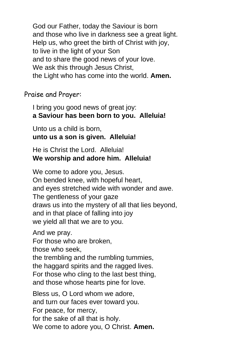God our Father, today the Saviour is born and those who live in darkness see a great light. Help us, who greet the birth of Christ with joy, to live in the light of your Son and to share the good news of your love. We ask this through Jesus Christ, the Light who has come into the world. **Amen.**

Praise and Prayer:

I bring you good news of great joy: **a Saviour has been born to you. Alleluia!**

Unto us a child is born, **unto us a son is given. Alleluia!**

He is Christ the Lord. Alleluia! **We worship and adore him. Alleluia!**

We come to adore you, Jesus. On bended knee, with hopeful heart, and eyes stretched wide with wonder and awe. The gentleness of your gaze draws us into the mystery of all that lies beyond, and in that place of falling into joy we yield all that we are to you.

And we pray. For those who are broken, those who seek, the trembling and the rumbling tummies, the haggard spirits and the ragged lives. For those who cling to the last best thing, and those whose hearts pine for love. Bless us, O Lord whom we adore,

and turn our faces ever toward you. For peace, for mercy, for the sake of all that is holy. We come to adore you, O Christ. **Amen.**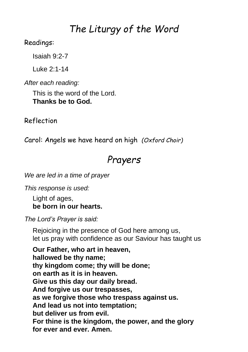### *The Liturgy of the Word*

#### Readings:

Isaiah 9:2-7

Luke 2:1-14

*After each reading:*

This is the word of the Lord. **Thanks be to God.**

Reflection

Carol: Angels we have heard on high *(Oxford Choir)*

### *Prayers*

*We are led in a time of prayer*

*This response is used:*

Light of ages, **be born in our hearts.**

*The Lord's Prayer is said:*

Rejoicing in the presence of God here among us, let us pray with confidence as our Saviour has taught us

**Our Father, who art in heaven, hallowed be thy name; thy kingdom come; thy will be done; on earth as it is in heaven. Give us this day our daily bread. And forgive us our trespasses, as we forgive those who trespass against us. And lead us not into temptation; but deliver us from evil. For thine is the kingdom, the power, and the glory for ever and ever. Amen.**